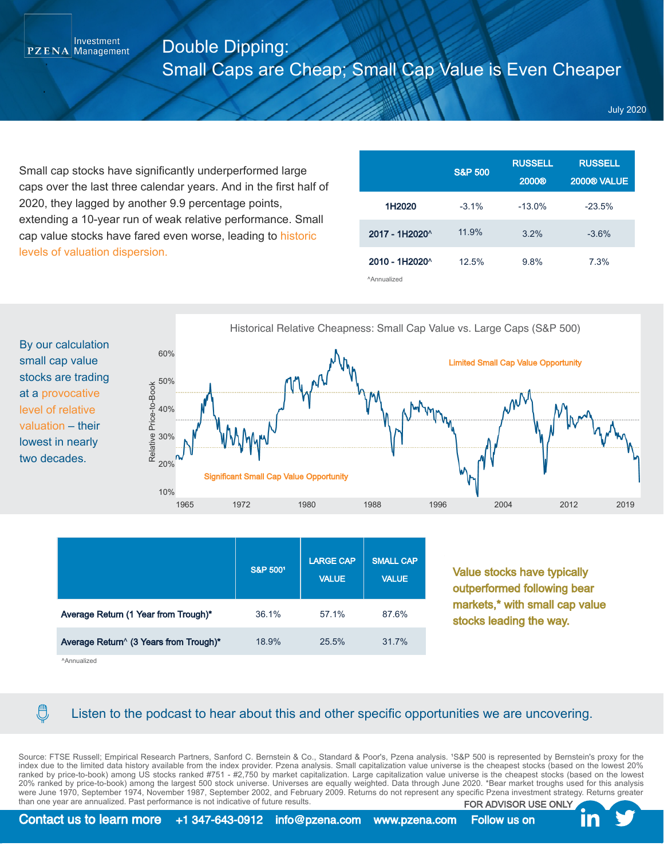## Double Dipping: Small Caps are Cheap; Small Cap Value is Even Cheaper

July 2020

Small cap stocks have significantly underperformed large caps over the last three calendar years. And in the first half of 2020, they lagged by another 9.9 percentage points, extending a 10-year run of weak relative performance. Small cap value stocks have fared even worse, leading to historic levels of valuation dispersion.

|                                                    | <b>S&amp;P 500</b> | <b>RUSSELL</b><br>2000® | <b>RUSSELL</b><br><b>2000® VALUE</b> |
|----------------------------------------------------|--------------------|-------------------------|--------------------------------------|
| 1H2020                                             | $-3.1\%$           | $-13.0%$                | $-23.5%$                             |
| 2017 - 1H2020 <sup>^</sup>                         | 11.9%              | 3.2%                    | $-3.6%$                              |
| $2010 - 1H2020^{\circ}$<br><sup>^</sup> Annualized | 12.5%              | 9.8%                    | 7.3%                                 |

By our calculation small cap value stocks are trading at a provocative level of relative valuation – their lowest in nearly two decades.

Investment  $PZENA$  Management



|                                        | S&P 5001 | <b>LARGE CAP</b><br><b>VALUE</b> | <b>SMALL CAP</b><br><b>VALUE</b> |
|----------------------------------------|----------|----------------------------------|----------------------------------|
| Average Return (1 Year from Trough)*   | 36.1%    | 57.1%                            | 87.6%                            |
| Average Return^ (3 Years from Trough)* | 18.9%    | 25.5%                            | 31.7%                            |

Value stocks have typically outperformed following bear markets,\* with small cap value stocks leading the way.

^Annualized

 $\bigoplus$ 

## Listen to the podcast to hear about this and other specific opportunities we are uncovering.

Source: FTSE Russell; Empirical Research Partners, Sanford C. Bernstein & Co., Standard & Poor's, Pzena analysis. 1S&P 500 is represented by Bernstein's proxy for the index due to the limited data history available from the index provider. Pzena analysis. Small capitalization value universe is the cheapest stocks (based on the lowest 20% ranked by price-to-book) among US stocks ranked #751 - #2,750 by market capitalization. Large capitalization value universe is the cheapest stocks (based on the lowest 20% ranked by price-to-book) among the largest 500 stock universe. Universes are equally weighted. Data through June 2020. \*Bear market troughs used for this analysis were June 1970, September 1974, November 1987, September 2002, and February 2009. Returns do not represent any specific Pzena investment strategy. Returns greater than one year are annualized. Past performance is not indicative of future results. FOR ADVISOR USE ONLY